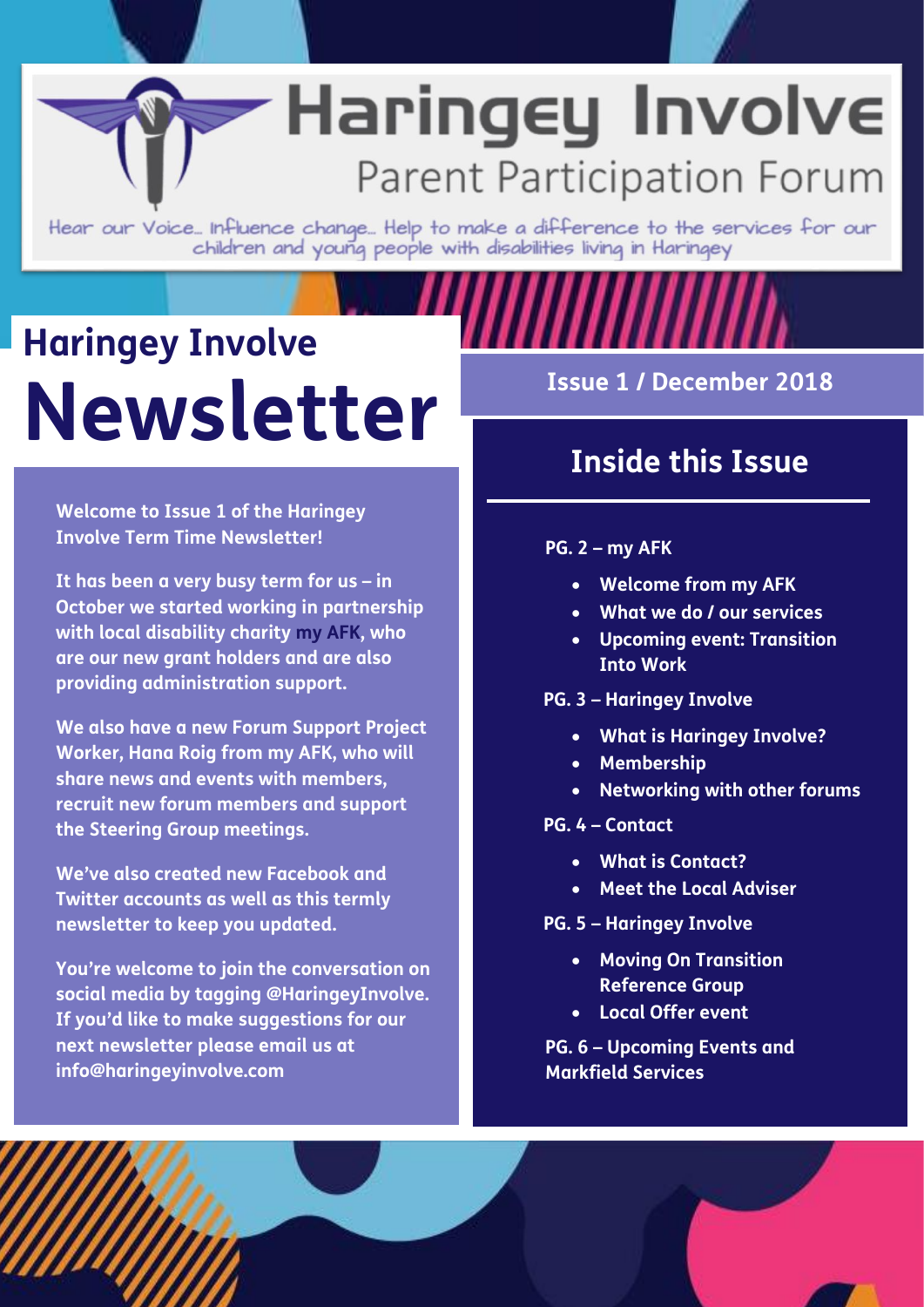#### **Group meetings** Haringey Involve **FACEBOOK and TWITTER accounts as well as producing a term in the state of the state of the state of the state of the state of the state of the state of the state of the state of the state of the state of the state of the state of the state of the state of the st to participate and we are all to suggest of the suggestions.**

Hear our Voice... Influence change... Help to make a difference to the services for our children and young people with disabilities living in Haringey

## **Haringey Involve Newsletter Issue 1 / December 2018**

**Welcome to Issue 1 of the Haringey Involve Term Time Newsletter!** 

**It has been a very busy term for us – in October we started working in partnership with local disability charity my AFK, who are our new grant holders and are also providing administration support.**

**We also have a new Forum Support Project Worker, Hana Roig from my AFK, who will share news and events with members, recruit new forum members and support the Steering Group meetings.**

**We've also created new Facebook and Twitter accounts as well as this termly newsletter to keep you updated.**

**You're welcome to join the conversation on social media by tagging @HaringeyInvolve. If you'd like to make suggestions for our next newsletter please email us at info@haringeyinvolve.com**

### **Inside this Issue**

#### **PG. 2 – my AFK**

- **Welcome from my AFK**
- **What we do / our services**
- **Upcoming event: Transition Into Work**
- **PG. 3 – Haringey Involve**
	- **What is Haringey Involve?**
	- **Membership**
	- **Networking with other forums**
- **PG. 4 – Contact**
	- **What is Contact?**
	- **Meet the Local Adviser**
- **PG. 5 – Haringey Involve** 
	- **Moving On Transition Reference Group**
	- **Local Offer event**

**PG. 6 – Upcoming Events and Markfield Services**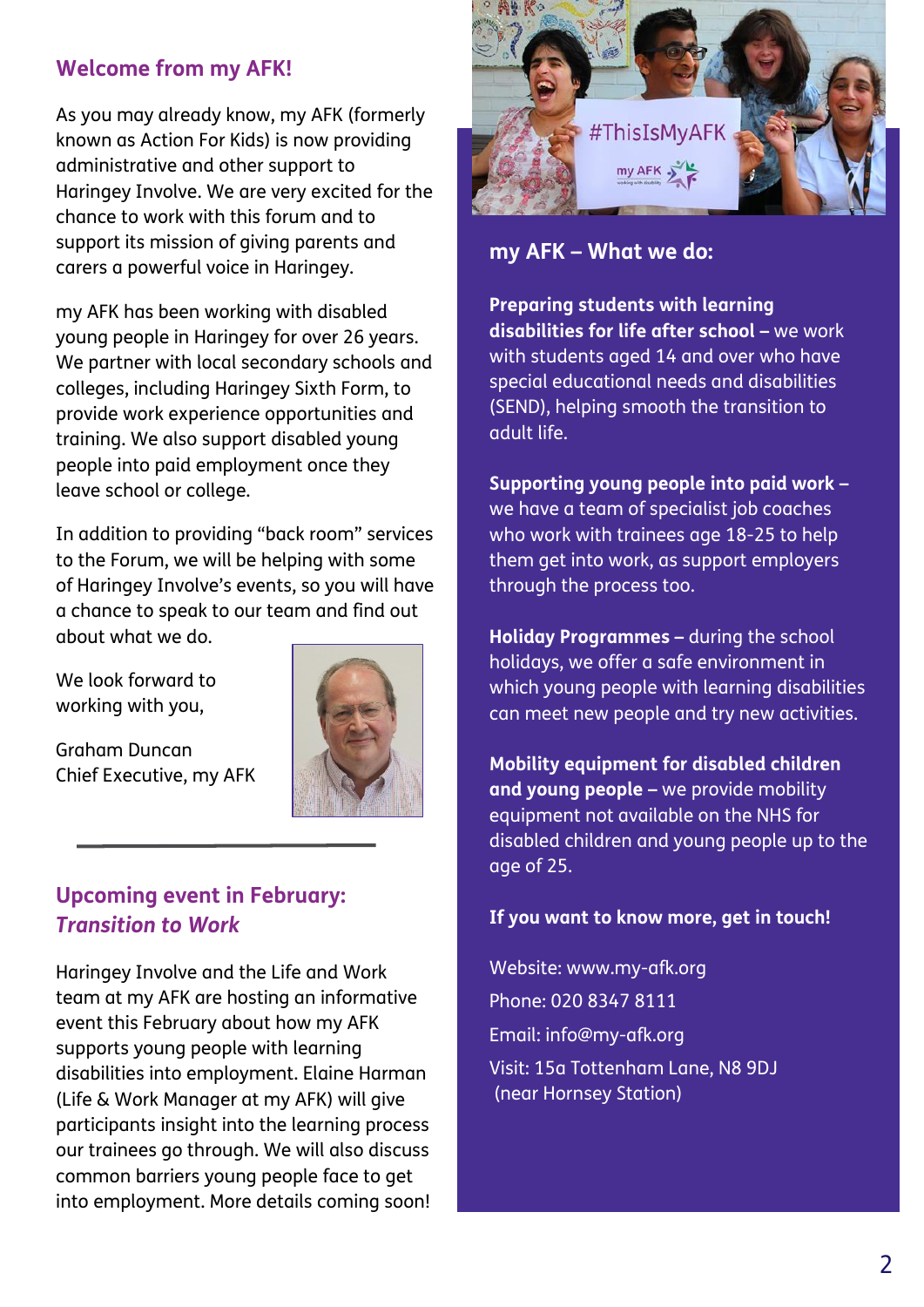#### **Welcome from my AFK!**

As you may already know, my AFK (formerly known as Action For Kids) is now providing administrative and other support to Haringey Involve. We are very excited for the chance to work with this forum and to support its mission of giving parents and carers a powerful voice in Haringey.

my AFK has been working with disabled young people in Haringey for over 26 years. We partner with local secondary schools and colleges, including Haringey Sixth Form, to provide work experience opportunities and training. We also support disabled young people into paid employment once they leave school or college.

In addition to providing "back room" services to the Forum, we will be helping with some of Haringey Involve's events, so you will have a chance to speak to our team and find out about what we do.

We look forward to working with you,

Graham Duncan Chief Executive, my AFK



#### **Upcoming event in February:**  *Transition to Work*

Haringey Involve and the Life and Work team at my AFK are hosting an informative event this February about how my AFK supports young people with learning disabilities into employment. Elaine Harman (Life & Work Manager at my AFK) will give participants insight into the learning process our trainees go through. We will also discuss common barriers young people face to get into employment. More details coming soon!



**my AFK – What we do:**

**Preparing students with learning disabilities for life after school –** we work with students aged 14 and over who have special educational needs and disabilities (SEND), helping smooth the transition to adult life.

**Supporting young people into paid work –** we have a team of specialist job coaches who work with trainees age 18-25 to help them get into work, as support employers through the process too.

**Holiday Programmes –** during the school holidays, we offer a safe environment in which young people with learning disabilities can meet new people and try new activities.

**Mobility equipment for disabled children and young people –** we provide mobility equipment not available on the NHS for disabled children and young people up to the age of 25.

#### **If you want to know more, get in touch!**

Website: www.my-afk.org Phone: 020 8347 8111 Email: info@my-afk.org Visit: 15a Tottenham Lane, N8 9DJ (near Hornsey Station)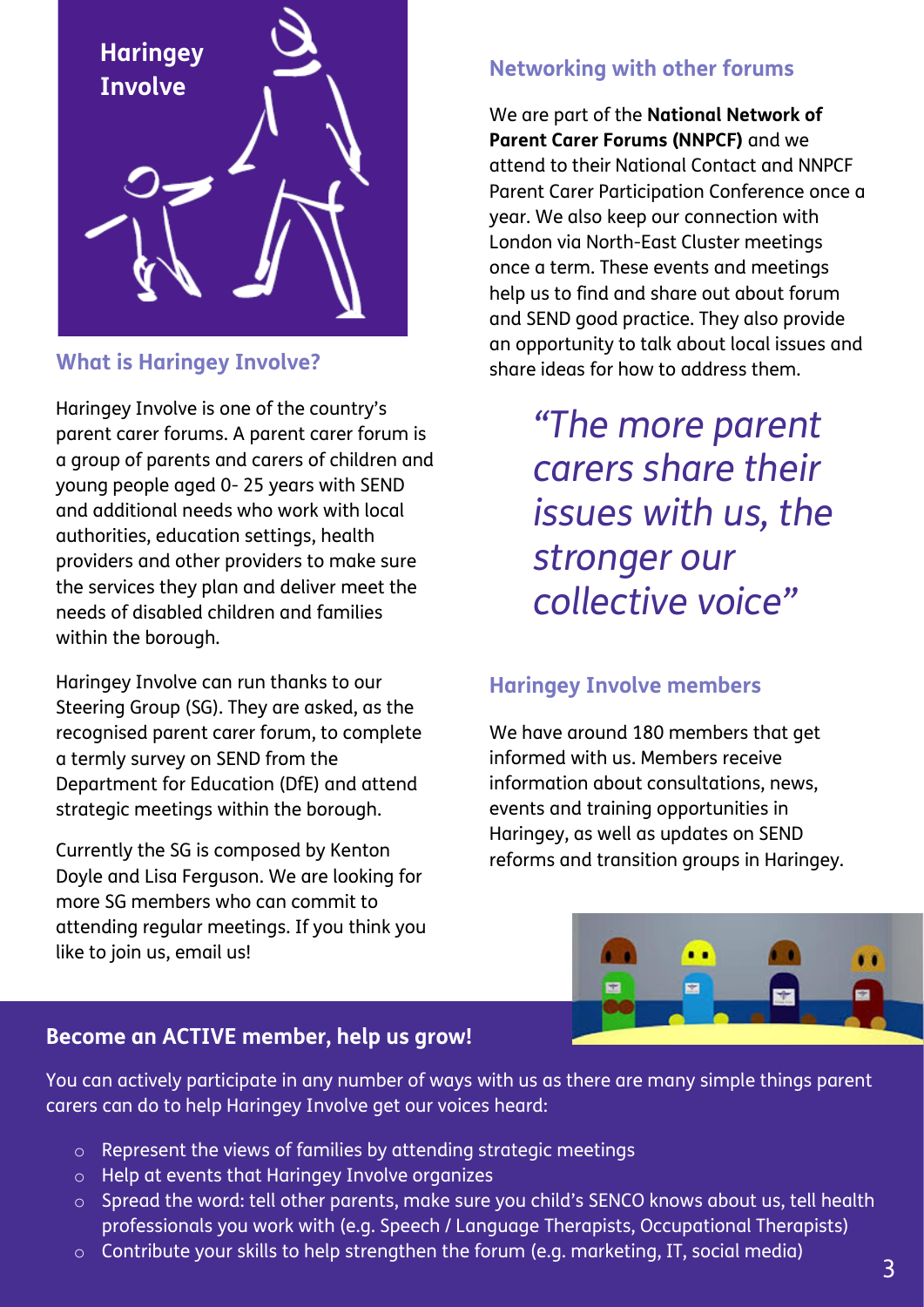

#### **What is Haringey Involve?**

Haringey Involve is one of the country's parent carer forums. A parent carer forum is a group of parents and carers of children and young people aged 0- 25 years with SEND and additional needs who work with local authorities, [education settings,](http://www.cafamily.org.uk/advice-and-support/sen-national-advice-service/an-introduction-to-special-educational-needs-%28sen%29/) [health](http://www.cafamily.org.uk/know-your-rights/disabled-childrens-services/health-services/)  [providers](http://www.cafamily.org.uk/know-your-rights/disabled-childrens-services/health-services/) and other providers to make sure the services they plan and deliver meet the needs of disabled children and families within the borough.

Haringey Involve can run thanks to our Steering Group (SG). They are asked, as the recognised parent carer forum, to complete a termly survey on SEND from the Department for Education (DfE) and attend strategic meetings within the borough.

Currently the SG is composed by Kenton Doyle and Lisa Ferguson. We are looking for more SG members who can commit to attending regular meetings. If you think you like to join us, email us!

#### **Networking with other forums**

We are part of the **National Network of Parent Carer Forums (NNPCF)** and we attend to their National Contact and NNPCF Parent Carer Participation Conference once a year. We also keep our connection with London via North-East Cluster meetings once a term. These events and meetings help us to find and share out about forum and SEND good practice. They also provide an opportunity to talk about local issues and share ideas for how to address them.

> *"The more parent carers share their issues with us, the stronger our collective voice"*

#### **Haringey Involve members**

We have around 180 members that get informed with us. Members receive information about consultations, news, events and training opportunities in Haringey, as well as updates on SEND reforms and transition groups in Haringey.



#### **Become an ACTIVE member, help us grow!**

You can actively participate in any number of ways with us as there are many simple things parent carers can do to help Haringey Involve get our voices heard:

- o Represent the views of families by attending strategic meetings
- o Help at events that Haringey Involve organizes
- o Spread the word: tell other parents, make sure you child's SENCO knows about us, tell health professionals you work with (e.g. Speech / Language Therapists, Occupational Therapists)
- o Contribute your skills to help strengthen the forum (e.g. marketing, IT, social media)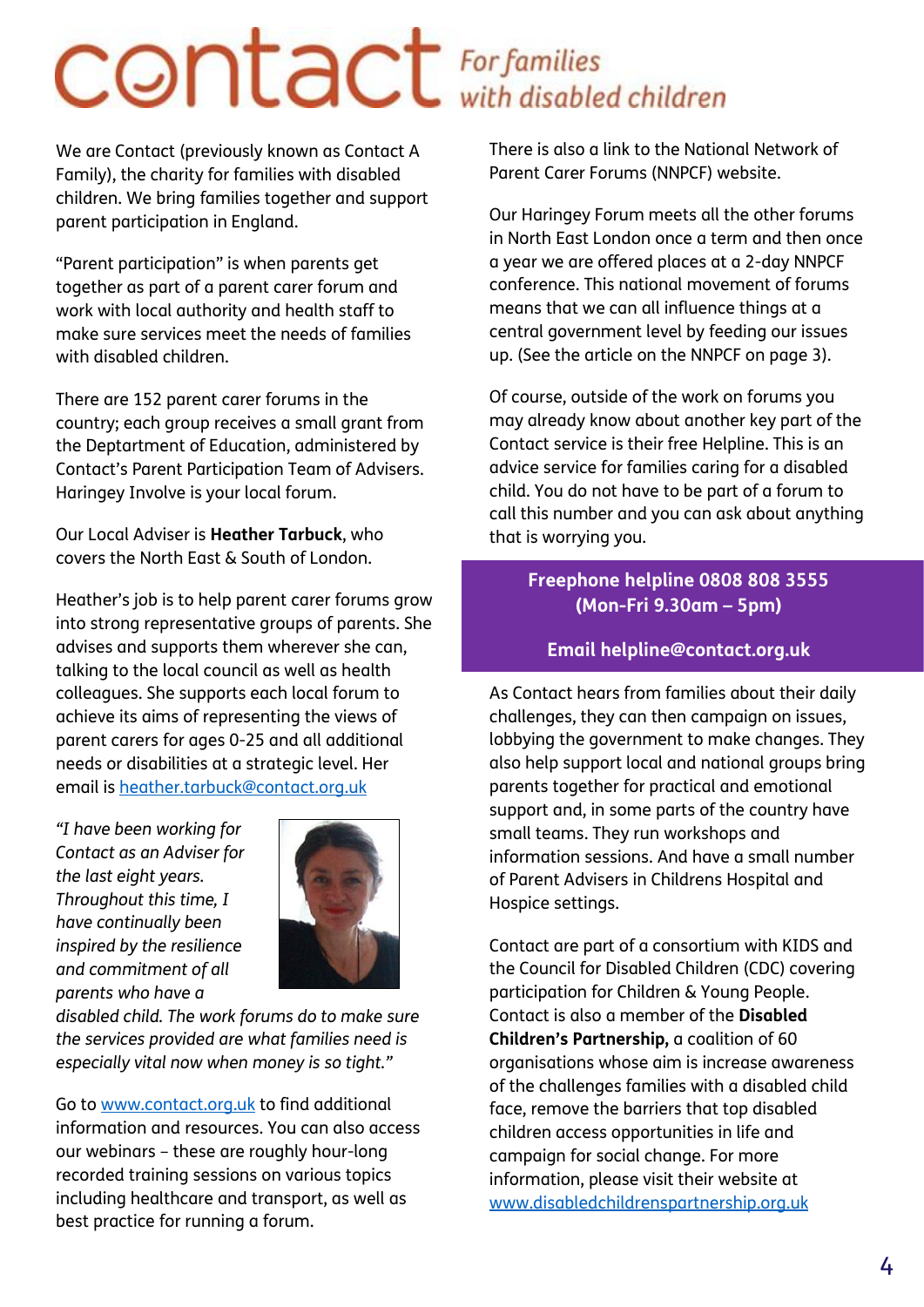# COntact For families

We are Contact (previously known as Contact A Family), the charity for families with disabled children. We bring families together and support parent participation in England.

"Parent participation" is when parents get together as part of a parent carer forum and work with local authority and health staff to make sure services meet the needs of families with disabled children.

There are 152 parent carer forums in the country; each group receives a small grant from the Deptartment of Education, administered by Contact's Parent Participation Team of Advisers. Haringey Involve is your local forum.

Our Local Adviser is **Heather Tarbuck**, who covers the North East & South of London.

Heather's job is to help parent carer forums grow into strong representative groups of parents. She advises and supports them wherever she can, talking to the local council as well as health colleagues. She supports each local forum to achieve its aims of representing the views of parent carers for ages 0-25 and all additional needs or disabilities at a strategic level. Her email is [heather.tarbuck@contact.org.uk](mailto:heather.tarbuck@contact.org.uk)

*"I have been working for Contact as an Adviser for the last eight years. Throughout this time, I have continually been inspired by the resilience and commitment of all parents who have a* 



*disabled child. The work forums do to make sure the services provided are what families need is especially vital now when money is so tight."* 

Go to [www.contact.org.uk](http://www.contact.org.uk/) to find additional information and resources. You can also access our webinars – these are roughly hour-long recorded training sessions on various topics including healthcare and transport, as well as best practice for running a forum.

There is also a link to the National Network of Parent Carer Forums (NNPCF) website.

Our Haringey Forum meets all the other forums in North East London once a term and then once a year we are offered places at a 2-day NNPCF conference. This national movement of forums means that we can all influence things at a central government level by feeding our issues up. (See the article on the NNPCF on page 3).

Of course, outside of the work on forums you may already know about another key part of the Contact service is their free Helpline. This is an advice service for families caring for a disabled child. You do not have to be part of a forum to call this number and you can ask about anything that is worrying you.

#### **Freephone helpline 0808 808 3555 (Mon-Fri 9.30am – 5pm)**

#### **Email helpline@contact.org.uk**

As Contact hears from families about their daily challenges, they can then campaign on issues, lobbying the government to make changes. They also help support local and national groups bring parents together for practical and emotional support and, in some parts of the country have small teams. They run workshops and information sessions. And have a small number of Parent Advisers in Childrens Hospital and Hospice settings.

Contact are part of a consortium with KIDS and the Council for Disabled Children (CDC) covering participation for Children & Young People. Contact is also a member of the **Disabled Children's Partnership,** a coalition of 60 organisations whose aim is increase awareness of the challenges families with a disabled child face, remove the barriers that top disabled children access opportunities in life and campaign for social change. For more information, please visit their website at [www.disabledchildrenspartnership.org.uk](http://www.disabledchildrenspartnership.org.uk/)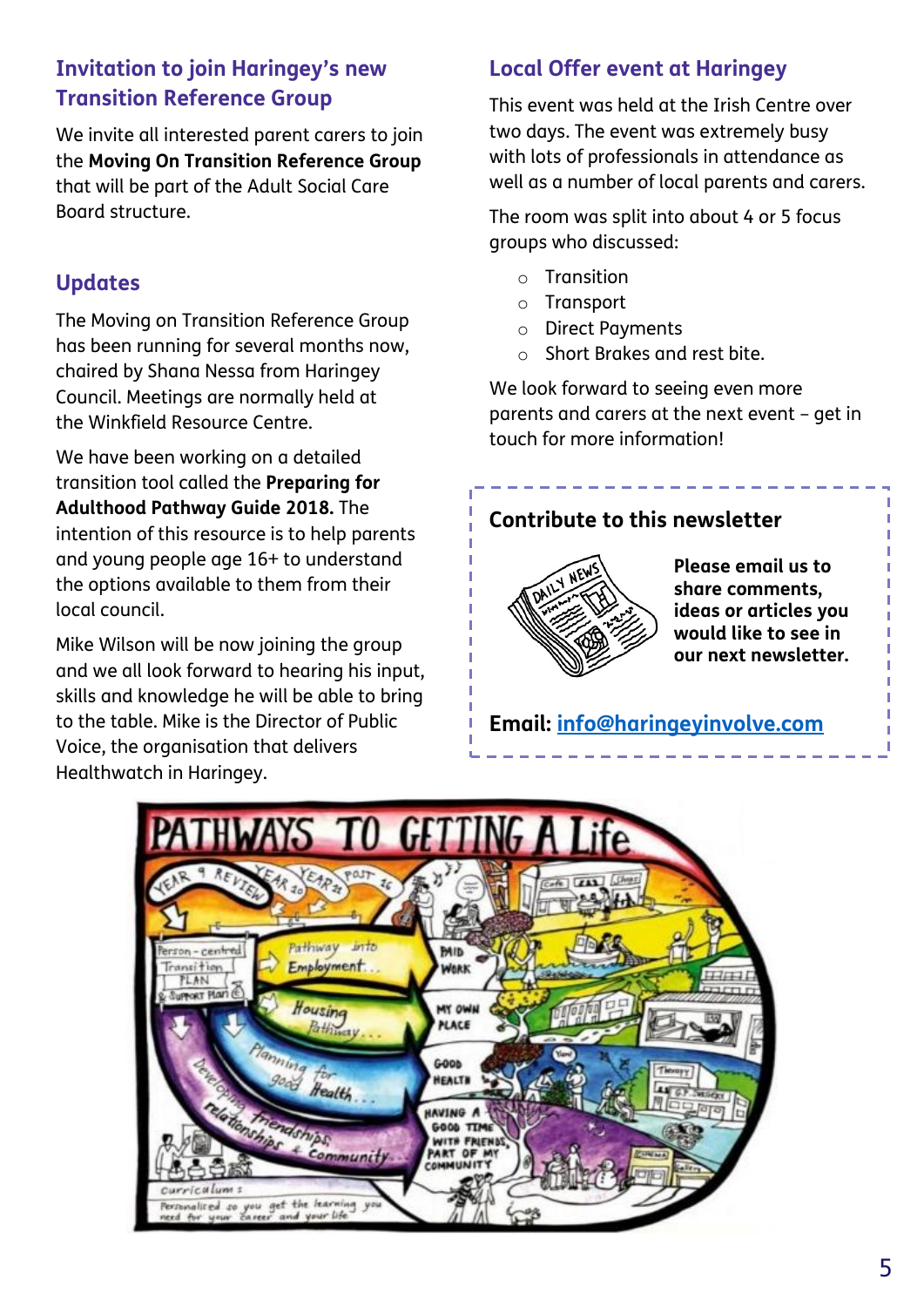#### **Invitation to join Haringey's new Transition Reference Group**

We invite all interested parent carers to join the **Moving On Transition Reference Group** that will be part of the Adult Social Care Board structure.

#### **Updates**

The Moving on Transition Reference Group has been running for several months now, chaired by Shana Nessa from Haringey Council. Meetings are normally held at the Winkfield Resource Centre.

We have been working on a detailed transition tool called the **Preparing for Adulthood Pathway Guide 2018.** The intention of this resource is to help parents and young people age 16+ to understand the options available to them from their local council.

Mike Wilson will be now joining the group and we all look forward to hearing his input, skills and knowledge he will be able to bring to the table. Mike is the Director of Public Voice, the organisation that delivers Healthwatch in Haringey.

#### **Local Offer event at Haringey**

This event was held at the Irish Centre over two days. The event was extremely busy with lots of professionals in attendance as well as a number of local parents and carers.

The room was split into about 4 or 5 focus groups who discussed:

- o Transition
- o Transport
- o Direct Payments
- o Short Brakes and rest bite.

We look forward to seeing even more parents and carers at the next event – get in touch for more information!

#### **Contribute to this newsletter**



**Please email us to share comments, ideas or articles you would like to see in our next newsletter.**

**Email: [info@haringeyinvolve.com](mailto:info@haringeyinvolve.com)**